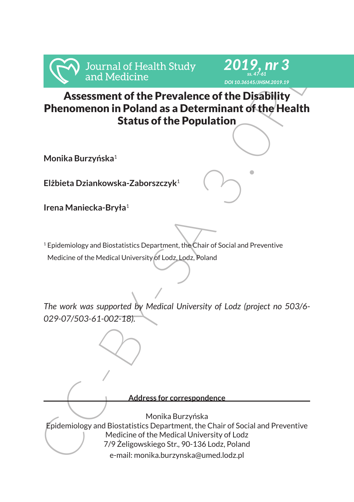

# Assessment of the Prevalence of the Disability Phenomenon in Poland as a Determinant of the Health Status of the Population

*2019, nr 3 ss. 47-61 DOI 10.36145/JHSM.2019.19*

**Monika Burzyńska**<sup>1</sup>

**Elżbieta Dziankowska-Zaborszczyk**<sup>1</sup>

**Irena Maniecka-Bryła**<sup>1</sup>

<sup>1</sup> Epidemiology and Biostatistics Department, the Chair of Social and Preventive Medicine of the Medical University of Lodz, Lodz, Poland

*The work was supported by Medical University of Lodz (project no 503/6- 029-07/503-61-002-18).*

For and Medicine<br>
Assessment of the Prevalence orientation<br>
Assessment of the Prevalence of the Disability<br>
Phenomenon in Poland as a Determinant of the Health<br>
Status of the Population<br>
Monika Burzyńska<sup>1</sup><br>
Elżbieta Dzian **Address for correspondence** Monika Burzyńska Epidemiology and Biostatistics Department, the Chair of Social and Preventive Medicine of the Medical University of Lodz 7/9 Żeligowskiego Str., 90-136 Lodz, Poland e-mail: monika.burzynska@umed.lodz.pl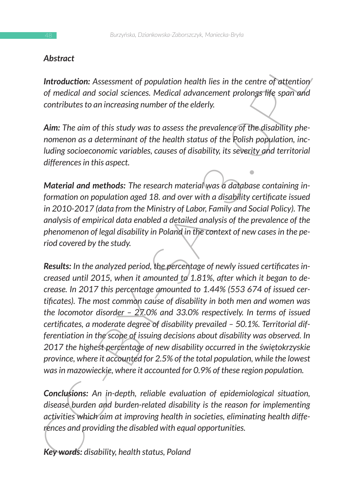## *Abstract*

**Introduction:** Assessment of population health lies in the centre of attention *of medical and social sciences. Medical advancement prolongs life span and contributes to an increasing number of the elderly.* 

*Aim: The aim of this study was to assess the prevalence of the disability phenomenon as a determinant of the health status of the Polish population, including socioeconomic variables, causes of disability, its severity and territorial differences in this aspect.*

*Material and methods: The research material was a database containing information on population aged 18. and over with a disability certificate issued in 2010-2017 (data from the Ministry of Labor, Family and Social Policy). The analysis of empirical data enabled a detailed analysis of the prevalence of the phenomenon of legal disability in Poland in the context of new cases in the period covered by the study.*

**Altionative**<br> **Introduction**: Assessment of population health lies in the centre of attention<br>
or medicial and social sciences. Medical advancement prolongs life span and<br>
contributes to an increasing number of the elder *Results: In the analyzed period, the percentage of newly issued certificates increased until 2015, when it amounted to 1.81%, after which it began to decrease. In 2017 this percentage amounted to 1.44% (553 674 of issued certificates). The most common cause of disability in both men and women was the locomotor disorder – 27.0% and 33.0% respectively. In terms of issued certificates, a moderate degree of disability prevailed – 50.1%. Territorial differentiation in the scope of issuing decisions about disability was observed. In 2017 the highest percentage of new disability occurred in the świętokrzyskie province, where it accounted for 2.5% of the total population, while the lowest was in mazowieckie, where it accounted for 0.9% of these region population.* 

*Conclusions: An in-depth, reliable evaluation of epidemiological situation, disease burden and burden-related disability is the reason for implementing activities which aim at improving health in societies, eliminating health differences and providing the disabled with equal opportunities.* 

*Key words: disability, health status, Poland*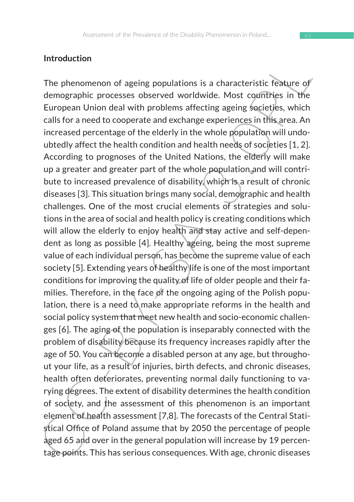#### **Introduction**

Introduction<br>The phenomenon of ageing populations is a characteristic reative of<br>themographic processes observed worldwide. Most countries in the<br>European Union deal with problems affecting ageing societies, which<br>calls fo The phenomenon of ageing populations is a characteristic feature of demographic processes observed worldwide. Most countries in the European Union deal with problems affecting ageing societies, which calls for a need to cooperate and exchange experiences in this area. An increased percentage of the elderly in the whole population will undoubtedly affect the health condition and health needs of societies [1, 2]. According to prognoses of the United Nations, the elderly will make up a greater and greater part of the whole population and will contribute to increased prevalence of disability, which is a result of chronic diseases [3]. This situation brings many social, demographic and health challenges. One of the most crucial elements of strategies and solutions in the area of social and health policy is creating conditions which will allow the elderly to enjoy health and stay active and self-dependent as long as possible [4]. Healthy ageing, being the most supreme value of each individual person, has become the supreme value of each society [5]. Extending years of healthy life is one of the most important conditions for improving the quality of life of older people and their families. Therefore, in the face of the ongoing aging of the Polish population, there is a need to make appropriate reforms in the health and social policy system that meet new health and socio-economic challenges [6]. The aging of the population is inseparably connected with the problem of disability because its frequency increases rapidly after the age of 50. You can become a disabled person at any age, but throughout your life, as a result of injuries, birth defects, and chronic diseases, health often deteriorates, preventing normal daily functioning to varying degrees. The extent of disability determines the health condition of society, and the assessment of this phenomenon is an important element of health assessment [7,8]. The forecasts of the Central Statistical Office of Poland assume that by 2050 the percentage of people aged 65 and over in the general population will increase by 19 percentage points. This has serious consequences. With age, chronic diseases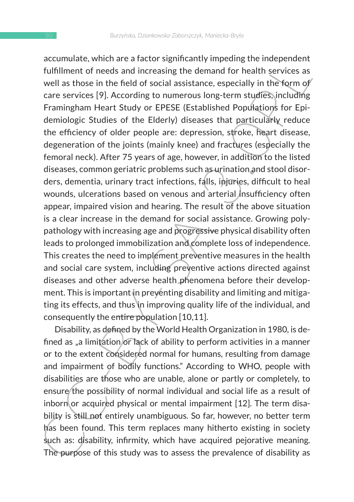actionualis, with are a lactor signinualizy imperiume interesting the fund<br>infillment of needs and increasing the demand for health services as<br>well as those in the field of social assistance, especially in the form of<br>car accumulate, which are a factor significantly impeding the independent fulfillment of needs and increasing the demand for health services as well as those in the field of social assistance, especially in the form of care services [9]. According to numerous long-term studies, including Framingham Heart Study or EPESE (Established Populations for Epidemiologic Studies of the Elderly) diseases that particularly reduce the efficiency of older people are: depression, stroke, heart disease, degeneration of the joints (mainly knee) and fractures (especially the femoral neck). After 75 years of age, however, in addition to the listed diseases, common geriatric problems such as urination and stool disorders, dementia, urinary tract infections, falls, injuries, difficult to heal wounds, ulcerations based on venous and arterial insufficiency often appear, impaired vision and hearing. The result of the above situation is a clear increase in the demand for social assistance. Growing polypathology with increasing age and progressive physical disability often leads to prolonged immobilization and complete loss of independence. This creates the need to implement preventive measures in the health and social care system, including preventive actions directed against diseases and other adverse health phenomena before their development. This is important in preventing disability and limiting and mitigating its effects, and thus in improving quality life of the individual, and consequently the entire population [10,11].

Disability, as defined by the World Health Organization in 1980, is defined as "a limitation or lack of ability to perform activities in a manner or to the extent considered normal for humans, resulting from damage and impairment of bodily functions." According to WHO, people with disabilities are those who are unable, alone or partly or completely, to ensure the possibility of normal individual and social life as a result of inborn or acquired physical or mental impairment  $[12]$ . The term disability is still not entirely unambiguous. So far, however, no better term has been found. This term replaces many hitherto existing in society such as: disability, infirmity, which have acquired pejorative meaning. The purpose of this study was to assess the prevalence of disability as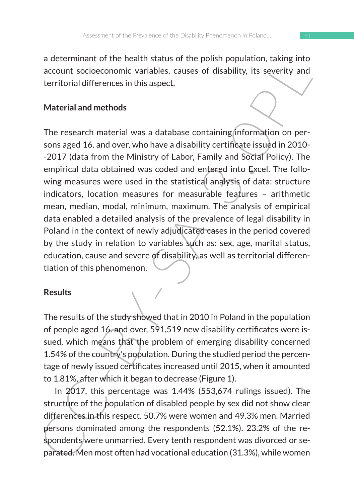a determinant of the health status of the polish population, taking into account socioeconomic variables, causes of disability, its severity and territorial differences in this aspect.

## **Material and methods**

and the meaning statutes or ine political production, taking into<br>account socioeconomic variables, causes of disability, its severity and<br>territorial differences in this aspect.<br>Material and methods<br>The research material w The research material was a database containing information on persons aged 16. and over, who have a disability certificate issued in 2010- -2017 (data from the Ministry of Labor, Family and Social Policy). The empirical data obtained was coded and entered into Excel. The following measures were used in the statistical analysis of data: structure indicators, location measures for measurable features – arithmetic mean, median, modal, minimum, maximum. The analysis of empirical data enabled a detailed analysis of the prevalence of legal disability in Poland in the context of newly adjudicated cases in the period covered by the study in relation to variables such as: sex, age, marital status, education, cause and severe of disability, as well as territorial differentiation of this phenomenon.

#### **Results**

The results of the study showed that in 2010 in Poland in the population of people aged 16. and over, 591,519 new disability certificates were issued, which means that the problem of emerging disability concerned 1.54% of the country's population. During the studied period the percentage of newly issued certificates increased until 2015, when it amounted to 1.81%, after which it began to decrease (Figure 1).

In 2017, this percentage was 1.44% (553,674 rulings issued). The structure of the population of disabled people by sex did not show clear differences in this respect. 50.7% were women and 49.3% men. Married persons dominated among the respondents (52.1%). 23.2% of the respondents were unmarried. Every tenth respondent was divorced or separated. Men most often had vocational education (31.3%), while women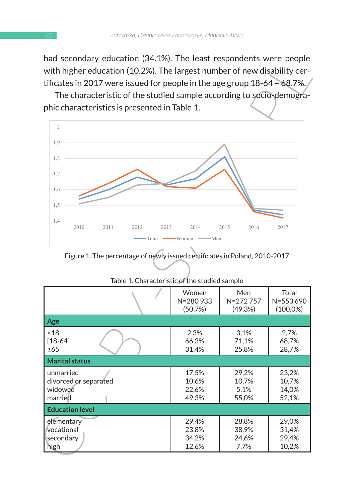had secondary education (34.1%). The least respondents were people with higher education (10.2%). The largest number of new disability certificates in 2017 were issued for people in the age group 18-64 – 68.7%.



Figure 1. The percentage of newly issued certificates in Poland, 2010-2017

| tificates in 2017 were issued for people in the age group 18-64 - 68.7%.<br>The characteristic of the studied sample according to socio-demogra-                                               |                                                               |                                                                            |                                                    |
|------------------------------------------------------------------------------------------------------------------------------------------------------------------------------------------------|---------------------------------------------------------------|----------------------------------------------------------------------------|----------------------------------------------------|
| phic characteristics is presented in Table 1.                                                                                                                                                  |                                                               |                                                                            |                                                    |
| $\overline{2}$                                                                                                                                                                                 |                                                               |                                                                            |                                                    |
| 1,9                                                                                                                                                                                            |                                                               |                                                                            |                                                    |
| 1,8                                                                                                                                                                                            |                                                               |                                                                            |                                                    |
| 1,7                                                                                                                                                                                            |                                                               |                                                                            |                                                    |
| 1,6                                                                                                                                                                                            |                                                               |                                                                            |                                                    |
|                                                                                                                                                                                                |                                                               |                                                                            |                                                    |
| 1,5                                                                                                                                                                                            |                                                               |                                                                            |                                                    |
| 1,4<br>2010<br>2011<br>2012<br>2013                                                                                                                                                            | 2014                                                          | 2015<br>2016                                                               | 2017                                               |
|                                                                                                                                                                                                | $\bullet$ Total $\longrightarrow$ Women $\longrightarrow$ Men |                                                                            |                                                    |
|                                                                                                                                                                                                |                                                               | Figure 1. The percentage of newly issued certificates in Poland, 2010-2017 |                                                    |
| Table 1. Characteristic of the studied sample                                                                                                                                                  | Women<br>N=280933                                             | Men<br>N=272757                                                            | Total                                              |
|                                                                                                                                                                                                | (50,7%)                                                       | (49, 3%)                                                                   |                                                    |
|                                                                                                                                                                                                | 2,3%<br>66,3%<br>31,4%                                        | 3,1%<br>71,1%<br>25,8%                                                     | 2,7%<br>68,7%<br>28,7%                             |
|                                                                                                                                                                                                |                                                               |                                                                            |                                                    |
|                                                                                                                                                                                                | 17,5%<br>10,6%<br>22,6%<br>49,3%                              | 29,2%<br>10,7%<br>5,1%<br>55,0%                                            | 23,2%<br>10,7%<br>14,0%<br>52,1%                   |
|                                                                                                                                                                                                |                                                               |                                                                            |                                                    |
| Age<br>~18<br>$[18 - 64]$<br>$\geq 65$<br><b>Marital status</b><br>unmarried<br>divorced or separated<br>widowed<br>married<br><b>Education level</b><br>elementary<br>vocational<br>secondary | 29,4%<br>23,8%<br>34,2%                                       | 28,8%<br>38,9%<br>24,6%                                                    | N=553690<br>$(100,0\%)$<br>29,0%<br>31,4%<br>29,4% |

| Table 1. Characteristic of the studied sample |  |  |
|-----------------------------------------------|--|--|
|                                               |  |  |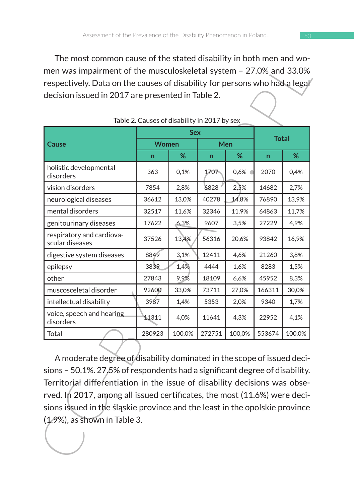The most common cause of the stated disability in both men and women was impairment of the musculoskeletal system – 27.0% and 33.0% respectively. Data on the causes of disability for persons who had a legal decision issued in 2017 are presented in Table 2.

| The most common cause of the stated disability in both men and wo-<br>men was impairment of the musculoskeletal system - 27.0% and 33.0%                                                                                                                                                                                                                                                                                        |                                              |        |        |        |        |        |
|---------------------------------------------------------------------------------------------------------------------------------------------------------------------------------------------------------------------------------------------------------------------------------------------------------------------------------------------------------------------------------------------------------------------------------|----------------------------------------------|--------|--------|--------|--------|--------|
| respectively. Data on the causes of disability for persons who had a legal<br>decision issued in 2017 are presented in Table 2.                                                                                                                                                                                                                                                                                                 |                                              |        |        |        |        |        |
|                                                                                                                                                                                                                                                                                                                                                                                                                                 | Table 2. Causes of disability in 2017 by sex |        |        |        |        |        |
|                                                                                                                                                                                                                                                                                                                                                                                                                                 | <b>Sex</b><br><b>Total</b>                   |        |        |        |        |        |
| Cause                                                                                                                                                                                                                                                                                                                                                                                                                           | Women                                        |        | Men    |        |        |        |
|                                                                                                                                                                                                                                                                                                                                                                                                                                 | n                                            | %      | n      | %      | n      | %      |
| holistic developmental<br>disorders                                                                                                                                                                                                                                                                                                                                                                                             | 363                                          | 0,1%   | 1707.  | 0,6%   | 2070   | 0,4%   |
| vision disorders                                                                                                                                                                                                                                                                                                                                                                                                                | 7854                                         | 2,8%   | 6828   | 2,5%   | 14682  | 2,7%   |
| neurological diseases                                                                                                                                                                                                                                                                                                                                                                                                           | 36612                                        | 13,0%  | 40278  | 14,8%  | 76890  | 13,9%  |
| mental disorders                                                                                                                                                                                                                                                                                                                                                                                                                | 32517                                        | 11,6%  | 32346  | 11,9%  | 64863  | 11,7%  |
| genitourinary diseases                                                                                                                                                                                                                                                                                                                                                                                                          | 17622                                        | 6,3%   | 9607   | 3,5%   | 27229  | 4,9%   |
| respiratory and cardiova-<br>scular diseases                                                                                                                                                                                                                                                                                                                                                                                    | 37526                                        | 13,4%  | 56316  | 20,6%  | 93842  | 16,9%  |
| digestive system diseases                                                                                                                                                                                                                                                                                                                                                                                                       | 8849                                         | 3,1%   | 12411  | 4,6%   | 21260  | 3,8%   |
| epilepsy                                                                                                                                                                                                                                                                                                                                                                                                                        | 3839                                         | 1,4%   | 4444   | 1,6%   | 8283   | 1,5%   |
| other                                                                                                                                                                                                                                                                                                                                                                                                                           | 27843                                        | 9,9%   | 18109  | 6,6%   | 45952  | 8,3%   |
| muscosceletal disorder                                                                                                                                                                                                                                                                                                                                                                                                          | 92600                                        | 33,0%  | 73711  | 27,0%  | 166311 | 30,0%  |
| intellectual disability                                                                                                                                                                                                                                                                                                                                                                                                         | 3987                                         | 1,4%   | 5353   | 2,0%   | 9340   | 1,7%   |
| voice, speech and hearing<br>disorders                                                                                                                                                                                                                                                                                                                                                                                          | 11311                                        | 4,0%   | 11641  | 4,3%   | 22952  | 4,1%   |
| Total                                                                                                                                                                                                                                                                                                                                                                                                                           | 280923                                       | 100,0% | 272751 | 100,0% | 553674 | 100,0% |
| A moderate degree of disability dominated in the scope of issued deci-<br>sions - 50.1%. 27.5% of respondents had a significant degree of disability.<br>Territorial differentiation in the issue of disability decisions was obse-<br>rved. In 2017, among all issued certificates, the most (11.6%) were deci-<br>sions issued in the slaskie province and the least in the opolskie province<br>(1.9%), as shown in Table 3. |                                              |        |        |        |        |        |

|  | Table 2. Causes of disability in 2017 by sex |  |
|--|----------------------------------------------|--|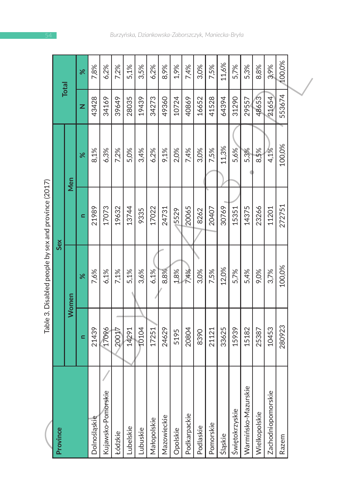| ؟<br>ک         |
|----------------|
| ١              |
| מאמ            |
|                |
| ١<br>$\mathbf$ |
| Ś              |
|                |
|                |
| 500000         |
| ļ<br>Ì         |
|                |
|                |
|                |
| ֚֘֝            |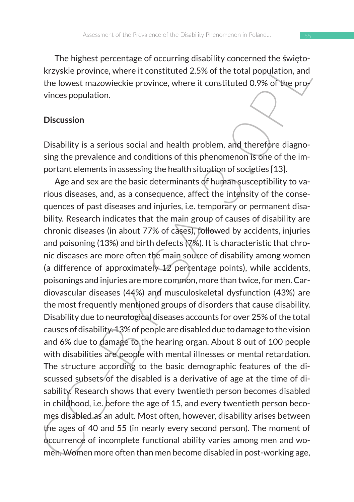The highest percentage of occurring disability concerned the świętokrzyskie province, where it constituted 2.5% of the total population, and the lowest mazowieckie province, where it constituted 0.9% of the provinces population.

#### **Discussion**

Disability is a serious social and health problem, and therefore diagnosing the prevalence and conditions of this phenomenon is one of the important elements in assessing the health situation of societies [13].

In regularis percentage of occurring usability concretion the subsequential control services are a 40 and where it constituted 2.5% of the total population, and<br>the lowest mazowieckie province, where it constituted 0.9% of Age and sex are the basic determinants of human susceptibility to various diseases, and, as a consequence, affect the intensity of the consequences of past diseases and injuries, i.e. temporary or permanent disability. Research indicates that the main group of causes of disability are chronic diseases (in about 77% of cases), followed by accidents, injuries and poisoning (13%) and birth defects (7%). It is characteristic that chronic diseases are more often the main source of disability among women (a difference of approximately 12 percentage points), while accidents, poisonings and injuries are more common, more than twice, for men. Cardiovascular diseases (44%) and musculoskeletal dysfunction (43%) are the most frequently mentioned groups of disorders that cause disability. Disability due to neurological diseases accounts for over 25% of the total causes of disability. 13% of people are disabled due to damage to the vision and 6% due to damage to the hearing organ. About 8 out of 100 people with disabilities are people with mental illnesses or mental retardation. The structure according to the basic demographic features of the discussed subsets of the disabled is a derivative of age at the time of disability. Research shows that every twentieth person becomes disabled in childhood, i.e. before the age of 15, and every twentieth person becomes disabled as an adult. Most often, however, disability arises between the ages of 40 and 55 (in nearly every second person). The moment of occurrence of incomplete functional ability varies among men and women. Women more often than men become disabled in post-working age,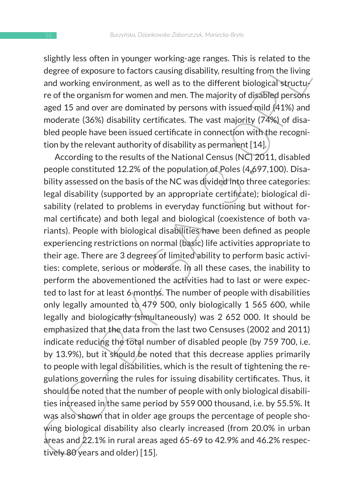slightly less often in younger working-age ranges. This is related to the degree of exposure to factors causing disability, resulting from the living and working environment, as well as to the different biological structure of the organism for women and men. The majority of disabled persons aged 15 and over are dominated by persons with issued mild (41%) and moderate (36%) disability certificates. The vast majority (74%) of disabled people have been issued certificate in connection with the recognition by the relevant authority of disability as permanent [14].

signity eas otien in younger working-age ranges. Tims is related to the<br>degree of exposure to factors causing disability, resulting from the living<br>and working environment, as well as to the different biological structure According to the results of the National Census (NC) 2011, disabled people constituted 12.2% of the population of Poles (4,697,100). Disability assessed on the basis of the NC was divided into three categories: legal disability (supported by an appropriate certificate); biological disability (related to problems in everyday functioning but without formal certificate) and both legal and biological (coexistence of both variants). People with biological disabilities have been defined as people experiencing restrictions on normal (basic) life activities appropriate to their age. There are 3 degrees of limited ability to perform basic activities: complete, serious or moderate. In all these cases, the inability to perform the abovementioned the activities had to last or were expected to last for at least 6 months. The number of people with disabilities only legally amounted to 479 500, only biologically 1 565 600, while legally and biologically (simultaneously) was 2 652 000. It should be emphasized that the data from the last two Censuses (2002 and 2011) indicate reducing the total number of disabled people (by 759 700, i.e. by 13.9%), but it should be noted that this decrease applies primarily to people with legal disabilities, which is the result of tightening the regulations governing the rules for issuing disability certificates. Thus, it should be noted that the number of people with only biological disabilities increased in the same period by 559 000 thousand, i.e. by 55.5%. It was also shown that in older age groups the percentage of people showing biological disability also clearly increased (from 20.0% in urban areas and 22.1% in rural areas aged 65-69 to 42.9% and 46.2% respectively 80 years and older) [15].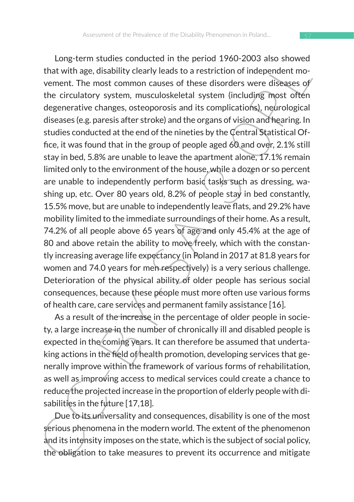that with age, disability dealy leads to a restriction of independent moment. The most comounce in the period 1750-2003 also showed with age, disability dearly leads to a restriction of independent moment. The most common Long-term studies conducted in the period 1960-2003 also showed that with age, disability clearly leads to a restriction of independent movement. The most common causes of these disorders were diseases of the circulatory system, musculoskeletal system (including most often degenerative changes, osteoporosis and its complications), neurological diseases (e.g. paresis after stroke) and the organs of vision and hearing. In studies conducted at the end of the nineties by the Central Statistical Office, it was found that in the group of people aged 60 and over, 2.1% still stay in bed, 5.8% are unable to leave the apartment alone, 17.1% remain limited only to the environment of the house, while a dozen or so percent are unable to independently perform basic tasks such as dressing, washing up, etc. Over 80 years old, 8.2% of people stay in bed constantly, 15.5% move, but are unable to independently leave flats, and 29.2% have mobility limited to the immediate surroundings of their home. As a result, 74.2% of all people above 65 years of age and only 45.4% at the age of 80 and above retain the ability to move freely, which with the constantly increasing average life expectancy (in Poland in 2017 at 81.8 years for women and 74.0 years for men respectively) is a very serious challenge. Deterioration of the physical ability of older people has serious social consequences, because these people must more often use various forms of health care, care services and permanent family assistance [16].

As a result of the increase in the percentage of older people in society, a large increase in the number of chronically ill and disabled people is expected in the coming years. It can therefore be assumed that undertaking actions in the field of health promotion, developing services that generally improve within the framework of various forms of rehabilitation, as well as improving access to medical services could create a chance to reduce the projected increase in the proportion of elderly people with disabilities in the future [17,18].

Due to its universality and consequences, disability is one of the most serious phenomena in the modern world. The extent of the phenomenon and its intensity imposes on the state, which is the subject of social policy, the obligation to take measures to prevent its occurrence and mitigate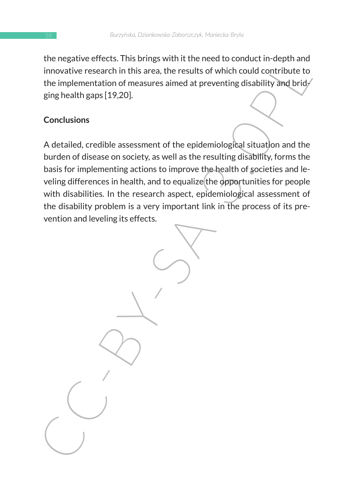the negative effects. This brings with it the need to conduct in-depth and innovative research in this area, the results of which could contribute to the implementation of measures aimed at preventing disability and brid $\ell$ ging health gaps [19,20].

#### **Conclusions**

the megative entects. This burning would method conduct inversion involvive research in this area, the results of which could contribute to the implementation of measures aimed at preventing disability and bridging health A detailed, credible assessment of the epidemiological situation and the burden of disease on society, as well as the resulting disability, forms the basis for implementing actions to improve the health of societies and leveling differences in health, and to equalize the opportunities for people with disabilities. In the research aspect, epidemiological assessment of the disability problem is a very important link in the process of its prevention and leveling its effects.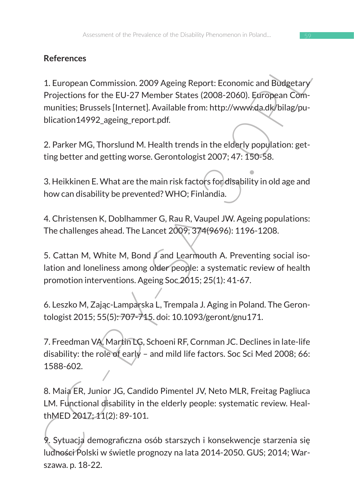# **References**

References<br>
1. European Commission. 2009 Ageing Report: Economic and Budgetary<br>
Projections for the EU-27 Member States (2008-2006). EgroPopean Committies; Brussels [Internet]. Available from: http://www.da.dk/bilag/pu-<br>
b 1. European Commission. 2009 Ageing Report: Economic and Budgetary Projections for the EU-27 Member States (2008-2060). European Communities; Brussels [Internet]. Available from: http://www.da.dk/bilag/publication14992 ageing report.pdf.

2. Parker MG, Thorslund M. Health trends in the elderly population: getting better and getting worse. Gerontologist 2007; 47: 150-58.

3. Heikkinen E. What are the main risk factors for disability in old age and how can disability be prevented? WHO; Finlandia.

4. Christensen K, Doblhammer G, Rau R, Vaupel JW. Ageing populations: The challenges ahead. The Lancet 2009; 374(9696): 1196-1208.

5. Cattan M, White M, Bond J and Learmouth A. Preventing social isolation and loneliness among older people: a systematic review of health promotion interventions. Ageing Soc 2015; 25(1): 41-67.

6. Leszko M, Zając-Lamparska L, Trempala J. Aging in Poland. The Gerontologist 2015; 55(5): 707-715. doi: 10.1093/geront/gnu171.

7. Freedman VA, Martin LG, Schoeni RF, Cornman JC. Declines in late-life disability: the role of early – and mild life factors. Soc Sci Med 2008; 66: 1588-602.

8. Maia ER, Junior JG, Candido Pimentel JV, Neto MLR, Freitag Pagliuca LM. Functional disability in the elderly people: systematic review. HealthMED 2017; 11(2): 89-101.

9. Sytuacja demograficzna osób starszych i konsekwencje starzenia się ludności Polski w świetle prognozy na lata 2014-2050. GUS; 2014; Warszawa. p. 18-22.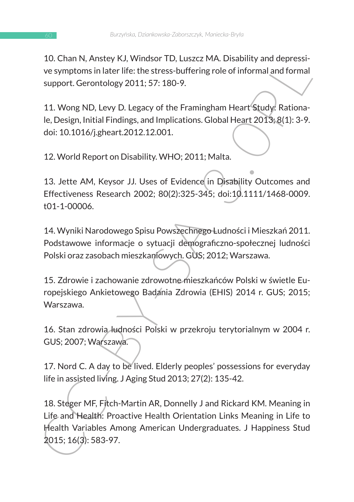10. Chan N, Anstey KJ, Windsor TD, Luszcz MA. Disability and depressive symptoms in later life: the stress-buffering role of informal and formal support. Gerontology 2011; 57: 180-9.

11. Wong ND, Levy D. Legacy of the Framingham Heart Study: Rationale, Design, Initial Findings, and Implications. Global Heart 2013; 8(1): 3-9. doi: 10.1016/j.gheart.2012.12.001.

12. World Report on Disability. WHO; 2011; Malta.

13. Jette AM, Keysor JJ. Uses of Evidence in Disability Outcomes and Effectiveness Research 2002; 80(2):325-345; doi:10.1111/1468-0009. t01-1-00006.

14. Wyniki Narodowego Spisu Powszechnego Ludności i Mieszkań 2011. Podstawowe informacje o sytuacji demograficzno-społecznej ludności Polski oraz zasobach mieszkaniowych. GUS; 2012; Warszawa.

15. Zdrowie i zachowanie zdrowotne mieszkańców Polski w świetle Europejskiego Ankietowego Badania Zdrowia (EHIS) 2014 r. GUS; 2015; Warszawa.

16. Stan zdrowia ludności Polski w przekroju terytorialnym w 2004 r. GUS; 2007; Warszawa.

17. Nord C. A day to be lived. Elderly peoples' possessions for everyday life in assisted living. J Aging Stud 2013; 27(2): 135-42.

Locutini, Anistey K.D., windson' D.J. Cuszcz, WM. Disaultity and depression-<br>ve symptoms in later life: the stress-buffering role of informal and formal<br>support. Gerontology 2011; 57: 180-9.<br>11. Wong ND, Levy D. Legacy of 18. Steger MF, Fitch-Martin AR, Donnelly J and Rickard KM. Meaning in Life and Health: Proactive Health Orientation Links Meaning in Life to Health Variables Among American Undergraduates. J Happiness Stud 2015; 16(3): 583-97.